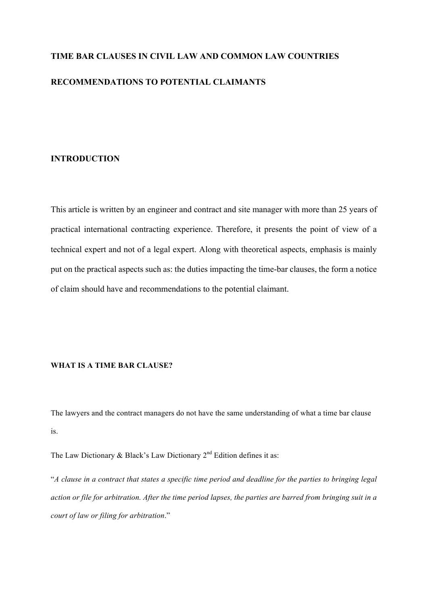# **TIME BAR CLAUSES IN CIVIL LAW AND COMMON LAW COUNTRIES RECOMMENDATIONS TO POTENTIAL CLAIMANTS**

## **INTRODUCTION**

This article is written by an engineer and contract and site manager with more than 25 years of practical international contracting experience. Therefore, it presents the point of view of a technical expert and not of a legal expert. Along with theoretical aspects, emphasis is mainly put on the practical aspects such as: the duties impacting the time-bar clauses, the form a notice of claim should have and recommendations to the potential claimant.

# **WHAT IS A TIME BAR CLAUSE?**

The lawyers and the contract managers do not have the same understanding of what a time bar clause is.

The Law Dictionary & Black's Law Dictionary  $2<sup>nd</sup>$  Edition defines it as:

"*A clause in a contract that states a specific time period and deadline for the parties to bringing legal action or file for arbitration. After the time period lapses, the parties are barred from bringing suit in a court of law or filing for arbitration*."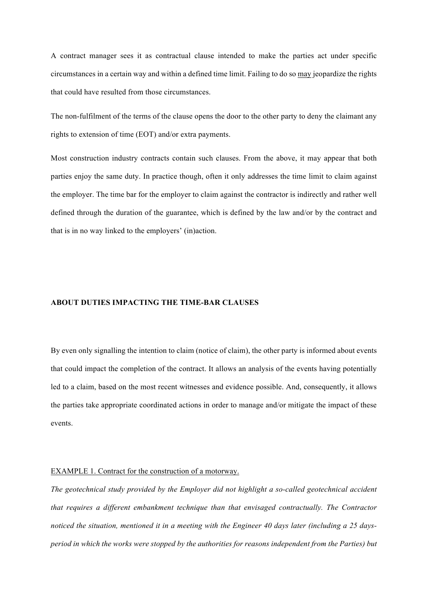A contract manager sees it as contractual clause intended to make the parties act under specific circumstances in a certain way and within a defined time limit. Failing to do so may jeopardize the rights that could have resulted from those circumstances.

The non-fulfilment of the terms of the clause opens the door to the other party to deny the claimant any rights to extension of time (EOT) and/or extra payments.

Most construction industry contracts contain such clauses. From the above, it may appear that both parties enjoy the same duty. In practice though, often it only addresses the time limit to claim against the employer. The time bar for the employer to claim against the contractor is indirectly and rather well defined through the duration of the guarantee, which is defined by the law and/or by the contract and that is in no way linked to the employers' (in)action.

## **ABOUT DUTIES IMPACTING THE TIME-BAR CLAUSES**

By even only signalling the intention to claim (notice of claim), the other party is informed about events that could impact the completion of the contract. It allows an analysis of the events having potentially led to a claim, based on the most recent witnesses and evidence possible. And, consequently, it allows the parties take appropriate coordinated actions in order to manage and/or mitigate the impact of these events.

## EXAMPLE 1. Contract for the construction of a motorway.

*The geotechnical study provided by the Employer did not highlight a so-called geotechnical accident that requires a different embankment technique than that envisaged contractually. The Contractor noticed the situation, mentioned it in a meeting with the Engineer 40 days later (including a 25 daysperiod in which the works were stopped by the authorities for reasons independent from the Parties) but*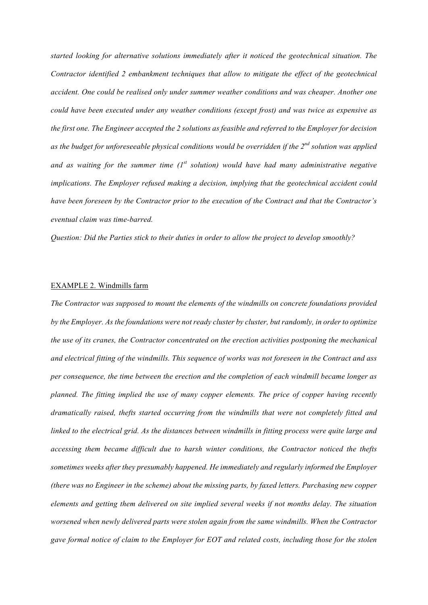*started looking for alternative solutions immediately after it noticed the geotechnical situation. The Contractor identified 2 embankment techniques that allow to mitigate the effect of the geotechnical accident. One could be realised only under summer weather conditions and was cheaper. Another one could have been executed under any weather conditions (except frost) and was twice as expensive as the first one. The Engineer accepted the 2 solutions as feasible and referred to the Employer for decision as the budget for unforeseeable physical conditions would be overridden if the 2nd solution was applied and as waiting for the summer time (1st solution) would have had many administrative negative implications. The Employer refused making a decision, implying that the geotechnical accident could have been foreseen by the Contractor prior to the execution of the Contract and that the Contractor's eventual claim was time-barred.*

*Question: Did the Parties stick to their duties in order to allow the project to develop smoothly?*

#### EXAMPLE 2. Windmills farm

*The Contractor was supposed to mount the elements of the windmills on concrete foundations provided by the Employer. As the foundations were not ready cluster by cluster, but randomly, in order to optimize the use of its cranes, the Contractor concentrated on the erection activities postponing the mechanical and electrical fitting of the windmills. This sequence of works was not foreseen in the Contract and ass per consequence, the time between the erection and the completion of each windmill became longer as planned. The fitting implied the use of many copper elements. The price of copper having recently dramatically raised, thefts started occurring from the windmills that were not completely fitted and linked to the electrical grid. As the distances between windmills in fitting process were quite large and accessing them became difficult due to harsh winter conditions, the Contractor noticed the thefts sometimes weeks after they presumably happened. He immediately and regularly informed the Employer (there was no Engineer in the scheme) about the missing parts, by faxed letters. Purchasing new copper elements and getting them delivered on site implied several weeks if not months delay. The situation worsened when newly delivered parts were stolen again from the same windmills. When the Contractor gave formal notice of claim to the Employer for EOT and related costs, including those for the stolen*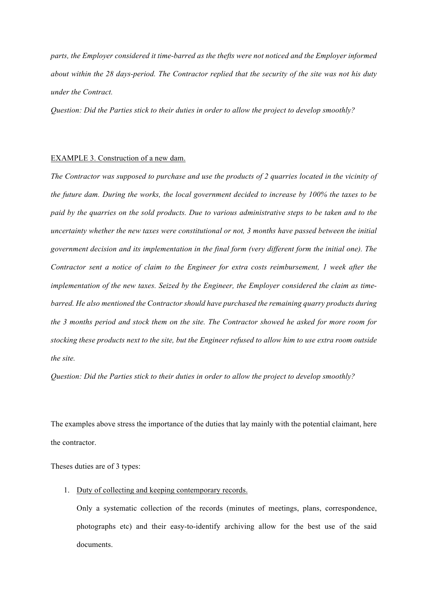*parts, the Employer considered it time-barred as the thefts were not noticed and the Employer informed about within the 28 days-period. The Contractor replied that the security of the site was not his duty under the Contract.*

*Question: Did the Parties stick to their duties in order to allow the project to develop smoothly?*

#### EXAMPLE 3. Construction of a new dam.

*The Contractor was supposed to purchase and use the products of 2 quarries located in the vicinity of the future dam. During the works, the local government decided to increase by 100% the taxes to be paid by the quarries on the sold products. Due to various administrative steps to be taken and to the uncertainty whether the new taxes were constitutional or not, 3 months have passed between the initial government decision and its implementation in the final form (very different form the initial one). The Contractor sent a notice of claim to the Engineer for extra costs reimbursement, 1 week after the implementation of the new taxes. Seized by the Engineer, the Employer considered the claim as timebarred. He also mentioned the Contractor should have purchased the remaining quarry products during the 3 months period and stock them on the site. The Contractor showed he asked for more room for stocking these products next to the site, but the Engineer refused to allow him to use extra room outside the site.*

*Question: Did the Parties stick to their duties in order to allow the project to develop smoothly?*

The examples above stress the importance of the duties that lay mainly with the potential claimant, here the contractor.

Theses duties are of 3 types:

1. Duty of collecting and keeping contemporary records.

Only a systematic collection of the records (minutes of meetings, plans, correspondence, photographs etc) and their easy-to-identify archiving allow for the best use of the said documents.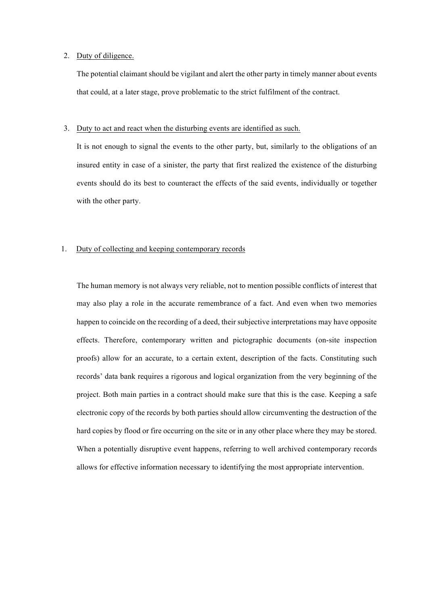## 2. Duty of diligence.

The potential claimant should be vigilant and alert the other party in timely manner about events that could, at a later stage, prove problematic to the strict fulfilment of the contract.

#### 3. Duty to act and react when the disturbing events are identified as such.

It is not enough to signal the events to the other party, but, similarly to the obligations of an insured entity in case of a sinister, the party that first realized the existence of the disturbing events should do its best to counteract the effects of the said events, individually or together with the other party.

## 1. Duty of collecting and keeping contemporary records

The human memory is not always very reliable, not to mention possible conflicts of interest that may also play a role in the accurate remembrance of a fact. And even when two memories happen to coincide on the recording of a deed, their subjective interpretations may have opposite effects. Therefore, contemporary written and pictographic documents (on-site inspection proofs) allow for an accurate, to a certain extent, description of the facts. Constituting such records' data bank requires a rigorous and logical organization from the very beginning of the project. Both main parties in a contract should make sure that this is the case. Keeping a safe electronic copy of the records by both parties should allow circumventing the destruction of the hard copies by flood or fire occurring on the site or in any other place where they may be stored. When a potentially disruptive event happens, referring to well archived contemporary records allows for effective information necessary to identifying the most appropriate intervention.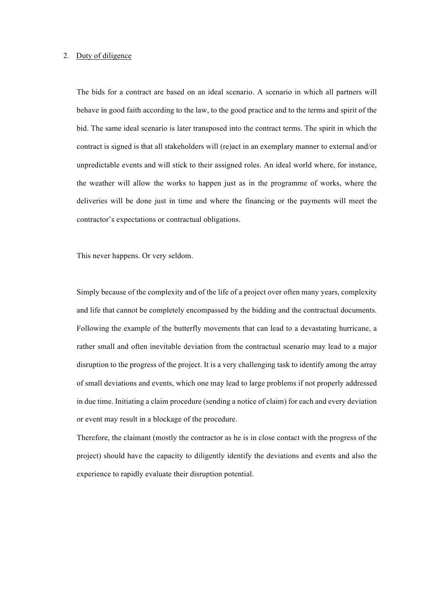## 2. Duty of diligence

The bids for a contract are based on an ideal scenario. A scenario in which all partners will behave in good faith according to the law, to the good practice and to the terms and spirit of the bid. The same ideal scenario is later transposed into the contract terms. The spirit in which the contract is signed is that all stakeholders will (re)act in an exemplary manner to external and/or unpredictable events and will stick to their assigned roles. An ideal world where, for instance, the weather will allow the works to happen just as in the programme of works, where the deliveries will be done just in time and where the financing or the payments will meet the contractor's expectations or contractual obligations.

This never happens. Or very seldom.

Simply because of the complexity and of the life of a project over often many years, complexity and life that cannot be completely encompassed by the bidding and the contractual documents. Following the example of the butterfly movements that can lead to a devastating hurricane, a rather small and often inevitable deviation from the contractual scenario may lead to a major disruption to the progress of the project. It is a very challenging task to identify among the array of small deviations and events, which one may lead to large problems if not properly addressed in due time. Initiating a claim procedure (sending a notice of claim) for each and every deviation or event may result in a blockage of the procedure.

Therefore, the claimant (mostly the contractor as he is in close contact with the progress of the project) should have the capacity to diligently identify the deviations and events and also the experience to rapidly evaluate their disruption potential.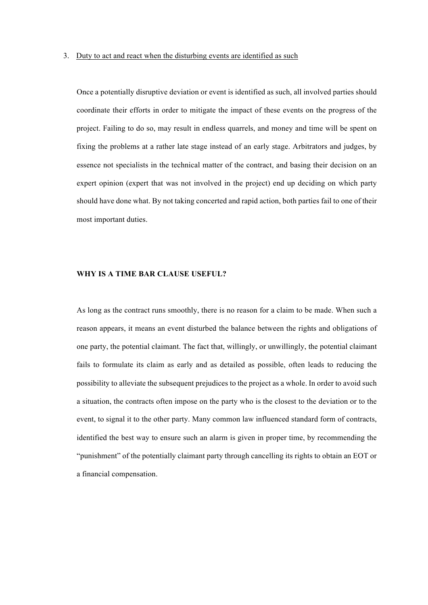Once a potentially disruptive deviation or event is identified as such, all involved parties should coordinate their efforts in order to mitigate the impact of these events on the progress of the project. Failing to do so, may result in endless quarrels, and money and time will be spent on fixing the problems at a rather late stage instead of an early stage. Arbitrators and judges, by essence not specialists in the technical matter of the contract, and basing their decision on an expert opinion (expert that was not involved in the project) end up deciding on which party should have done what. By not taking concerted and rapid action, both parties fail to one of their most important duties.

#### **WHY IS A TIME BAR CLAUSE USEFUL?**

As long as the contract runs smoothly, there is no reason for a claim to be made. When such a reason appears, it means an event disturbed the balance between the rights and obligations of one party, the potential claimant. The fact that, willingly, or unwillingly, the potential claimant fails to formulate its claim as early and as detailed as possible, often leads to reducing the possibility to alleviate the subsequent prejudices to the project as a whole. In order to avoid such a situation, the contracts often impose on the party who is the closest to the deviation or to the event, to signal it to the other party. Many common law influenced standard form of contracts, identified the best way to ensure such an alarm is given in proper time, by recommending the "punishment" of the potentially claimant party through cancelling its rights to obtain an EOT or a financial compensation.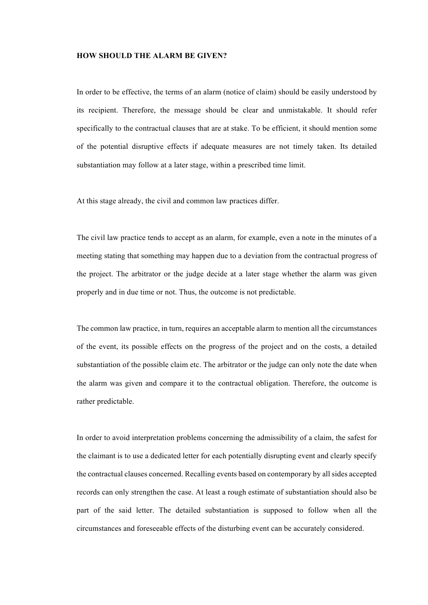## **HOW SHOULD THE ALARM BE GIVEN?**

In order to be effective, the terms of an alarm (notice of claim) should be easily understood by its recipient. Therefore, the message should be clear and unmistakable. It should refer specifically to the contractual clauses that are at stake. To be efficient, it should mention some of the potential disruptive effects if adequate measures are not timely taken. Its detailed substantiation may follow at a later stage, within a prescribed time limit.

At this stage already, the civil and common law practices differ.

The civil law practice tends to accept as an alarm, for example, even a note in the minutes of a meeting stating that something may happen due to a deviation from the contractual progress of the project. The arbitrator or the judge decide at a later stage whether the alarm was given properly and in due time or not. Thus, the outcome is not predictable.

The common law practice, in turn, requires an acceptable alarm to mention all the circumstances of the event, its possible effects on the progress of the project and on the costs, a detailed substantiation of the possible claim etc. The arbitrator or the judge can only note the date when the alarm was given and compare it to the contractual obligation. Therefore, the outcome is rather predictable.

In order to avoid interpretation problems concerning the admissibility of a claim, the safest for the claimant is to use a dedicated letter for each potentially disrupting event and clearly specify the contractual clauses concerned. Recalling events based on contemporary by all sides accepted records can only strengthen the case. At least a rough estimate of substantiation should also be part of the said letter. The detailed substantiation is supposed to follow when all the circumstances and foreseeable effects of the disturbing event can be accurately considered.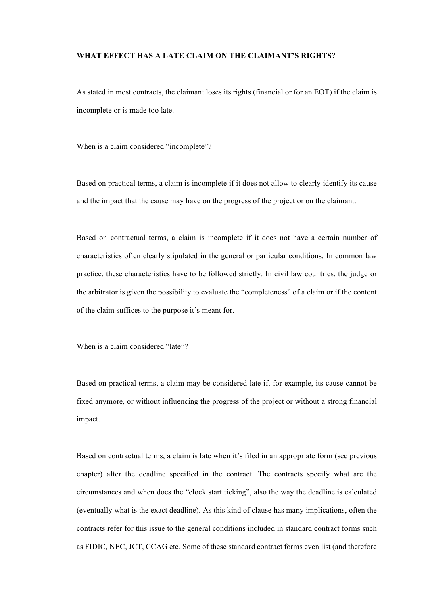## **WHAT EFFECT HAS A LATE CLAIM ON THE CLAIMANT'S RIGHTS?**

As stated in most contracts, the claimant loses its rights (financial or for an EOT) if the claim is incomplete or is made too late.

## When is a claim considered "incomplete"?

Based on practical terms, a claim is incomplete if it does not allow to clearly identify its cause and the impact that the cause may have on the progress of the project or on the claimant.

Based on contractual terms, a claim is incomplete if it does not have a certain number of characteristics often clearly stipulated in the general or particular conditions. In common law practice, these characteristics have to be followed strictly. In civil law countries, the judge or the arbitrator is given the possibility to evaluate the "completeness" of a claim or if the content of the claim suffices to the purpose it's meant for.

#### When is a claim considered "late"?

Based on practical terms, a claim may be considered late if, for example, its cause cannot be fixed anymore, or without influencing the progress of the project or without a strong financial impact.

Based on contractual terms, a claim is late when it's filed in an appropriate form (see previous chapter) after the deadline specified in the contract. The contracts specify what are the circumstances and when does the "clock start ticking", also the way the deadline is calculated (eventually what is the exact deadline). As this kind of clause has many implications, often the contracts refer for this issue to the general conditions included in standard contract forms such as FIDIC, NEC, JCT, CCAG etc. Some of these standard contract forms even list (and therefore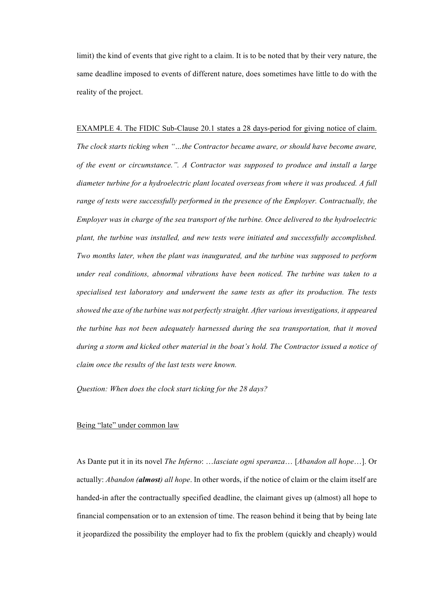limit) the kind of events that give right to a claim. It is to be noted that by their very nature, the same deadline imposed to events of different nature, does sometimes have little to do with the reality of the project.

#### EXAMPLE 4. The FIDIC Sub-Clause 20.1 states a 28 days-period for giving notice of claim.

*The clock starts ticking when "…the Contractor became aware, or should have become aware, of the event or circumstance.". A Contractor was supposed to produce and install a large diameter turbine for a hydroelectric plant located overseas from where it was produced. A full range of tests were successfully performed in the presence of the Employer. Contractually, the Employer was in charge of the sea transport of the turbine. Once delivered to the hydroelectric plant, the turbine was installed, and new tests were initiated and successfully accomplished. Two months later, when the plant was inaugurated, and the turbine was supposed to perform under real conditions, abnormal vibrations have been noticed. The turbine was taken to a specialised test laboratory and underwent the same tests as after its production. The tests showed the axe of the turbine was not perfectly straight. After various investigations, it appeared the turbine has not been adequately harnessed during the sea transportation, that it moved during a storm and kicked other material in the boat's hold. The Contractor issued a notice of claim once the results of the last tests were known.*

*Question: When does the clock start ticking for the 28 days?*

#### Being "late" under common law

As Dante put it in its novel *The Inferno*: …*lasciate ogni speranza*… [*Abandon all hope*…]. Or actually: *Abandon (almost) all hope*. In other words, if the notice of claim or the claim itself are handed-in after the contractually specified deadline, the claimant gives up (almost) all hope to financial compensation or to an extension of time. The reason behind it being that by being late it jeopardized the possibility the employer had to fix the problem (quickly and cheaply) would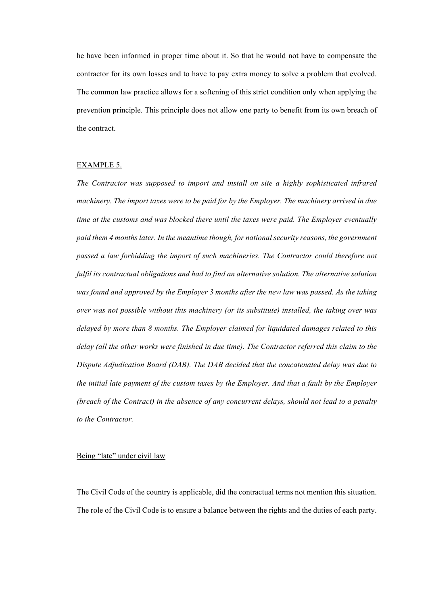he have been informed in proper time about it. So that he would not have to compensate the contractor for its own losses and to have to pay extra money to solve a problem that evolved. The common law practice allows for a softening of this strict condition only when applying the prevention principle. This principle does not allow one party to benefit from its own breach of the contract.

## EXAMPLE 5.

*The Contractor was supposed to import and install on site a highly sophisticated infrared machinery. The import taxes were to be paid for by the Employer. The machinery arrived in due time at the customs and was blocked there until the taxes were paid. The Employer eventually paid them 4 months later. In the meantime though, for national security reasons, the government passed a law forbidding the import of such machineries. The Contractor could therefore not fulfil its contractual obligations and had to find an alternative solution. The alternative solution was found and approved by the Employer 3 months after the new law was passed. As the taking over was not possible without this machinery (or its substitute) installed, the taking over was delayed by more than 8 months. The Employer claimed for liquidated damages related to this delay (all the other works were finished in due time). The Contractor referred this claim to the Dispute Adjudication Board (DAB). The DAB decided that the concatenated delay was due to the initial late payment of the custom taxes by the Employer. And that a fault by the Employer (breach of the Contract) in the absence of any concurrent delays, should not lead to a penalty to the Contractor.*

## Being "late" under civil law

The Civil Code of the country is applicable, did the contractual terms not mention this situation. The role of the Civil Code is to ensure a balance between the rights and the duties of each party.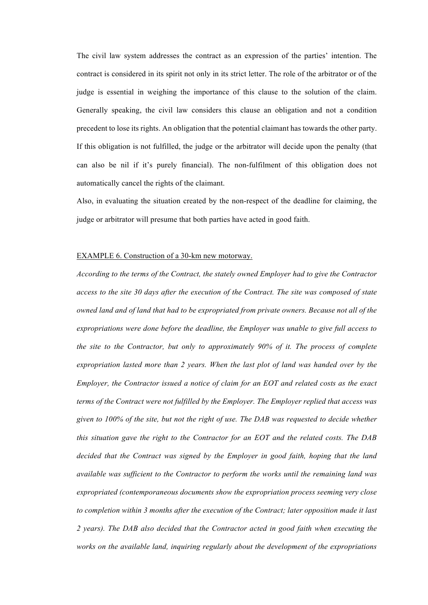The civil law system addresses the contract as an expression of the parties' intention. The contract is considered in its spirit not only in its strict letter. The role of the arbitrator or of the judge is essential in weighing the importance of this clause to the solution of the claim. Generally speaking, the civil law considers this clause an obligation and not a condition precedent to lose its rights. An obligation that the potential claimant has towards the other party. If this obligation is not fulfilled, the judge or the arbitrator will decide upon the penalty (that can also be nil if it's purely financial). The non-fulfilment of this obligation does not automatically cancel the rights of the claimant.

Also, in evaluating the situation created by the non-respect of the deadline for claiming, the judge or arbitrator will presume that both parties have acted in good faith.

#### EXAMPLE 6. Construction of a 30-km new motorway.

*According to the terms of the Contract, the stately owned Employer had to give the Contractor access to the site 30 days after the execution of the Contract. The site was composed of state owned land and of land that had to be expropriated from private owners. Because not all of the expropriations were done before the deadline, the Employer was unable to give full access to the site to the Contractor, but only to approximately 90% of it. The process of complete expropriation lasted more than 2 years. When the last plot of land was handed over by the Employer, the Contractor issued a notice of claim for an EOT and related costs as the exact terms of the Contract were not fulfilled by the Employer. The Employer replied that access was given to 100% of the site, but not the right of use. The DAB was requested to decide whether this situation gave the right to the Contractor for an EOT and the related costs. The DAB decided that the Contract was signed by the Employer in good faith, hoping that the land available was sufficient to the Contractor to perform the works until the remaining land was expropriated (contemporaneous documents show the expropriation process seeming very close to completion within 3 months after the execution of the Contract; later opposition made it last 2 years). The DAB also decided that the Contractor acted in good faith when executing the works on the available land, inquiring regularly about the development of the expropriations*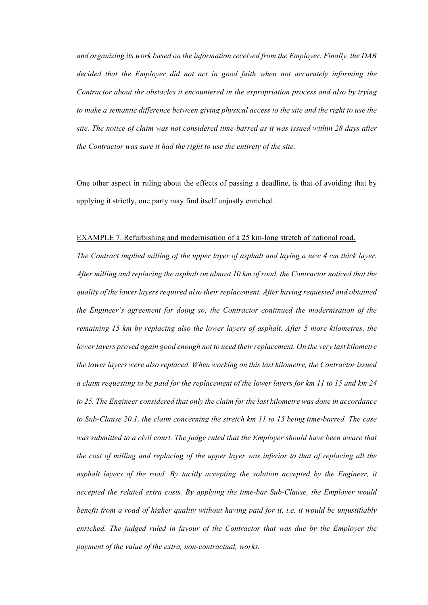*and organizing its work based on the information received from the Employer. Finally, the DAB decided that the Employer did not act in good faith when not accurately informing the Contractor about the obstacles it encountered in the expropriation process and also by trying to make a semantic difference between giving physical access to the site and the right to use the site. The notice of claim was not considered time-barred as it was issued within 28 days after the Contractor was sure it had the right to use the entirety of the site.*

One other aspect in ruling about the effects of passing a deadline, is that of avoiding that by applying it strictly, one party may find itself unjustly enriched.

#### EXAMPLE 7. Refurbishing and modernisation of a 25 km-long stretch of national road.

*The Contract implied milling of the upper layer of asphalt and laying a new 4 cm thick layer. After milling and replacing the asphalt on almost 10 km of road, the Contractor noticed that the quality of the lower layers required also their replacement. After having requested and obtained the Engineer's agreement for doing so, the Contractor continued the modernisation of the remaining 15 km by replacing also the lower layers of asphalt. After 5 more kilometres, the lower layers proved again good enough not to need their replacement. On the very last kilometre the lower layers were also replaced. When working on this last kilometre, the Contractor issued a claim requesting to be paid for the replacement of the lower layers for km 11 to 15 and km 24 to 25. The Engineer considered that only the claim for the last kilometre was done in accordance to Sub-Clause 20.1, the claim concerning the stretch km 11 to 15 being time-barred. The case was submitted to a civil court. The judge ruled that the Employer should have been aware that the cost of milling and replacing of the upper layer was inferior to that of replacing all the asphalt layers of the road. By tacitly accepting the solution accepted by the Engineer, it accepted the related extra costs. By applying the time-bar Sub-Clause, the Employer would benefit from a road of higher quality without having paid for it, i.e. it would be unjustifiably enriched. The judged ruled in favour of the Contractor that was due by the Employer the payment of the value of the extra, non-contractual, works.*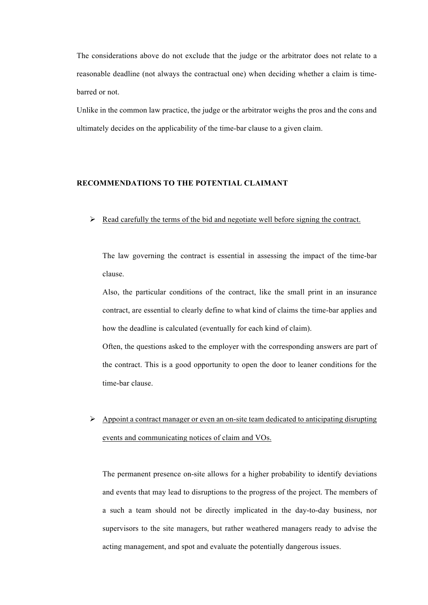The considerations above do not exclude that the judge or the arbitrator does not relate to a reasonable deadline (not always the contractual one) when deciding whether a claim is timebarred or not.

Unlike in the common law practice, the judge or the arbitrator weighs the pros and the cons and ultimately decides on the applicability of the time-bar clause to a given claim.

# **RECOMMENDATIONS TO THE POTENTIAL CLAIMANT**

 $\triangleright$  Read carefully the terms of the bid and negotiate well before signing the contract.

The law governing the contract is essential in assessing the impact of the time-bar clause.

Also, the particular conditions of the contract, like the small print in an insurance contract, are essential to clearly define to what kind of claims the time-bar applies and how the deadline is calculated (eventually for each kind of claim).

Often, the questions asked to the employer with the corresponding answers are part of the contract. This is a good opportunity to open the door to leaner conditions for the time-bar clause.

 $\triangleright$  Appoint a contract manager or even an on-site team dedicated to anticipating disrupting events and communicating notices of claim and VOs.

The permanent presence on-site allows for a higher probability to identify deviations and events that may lead to disruptions to the progress of the project. The members of a such a team should not be directly implicated in the day-to-day business, nor supervisors to the site managers, but rather weathered managers ready to advise the acting management, and spot and evaluate the potentially dangerous issues.